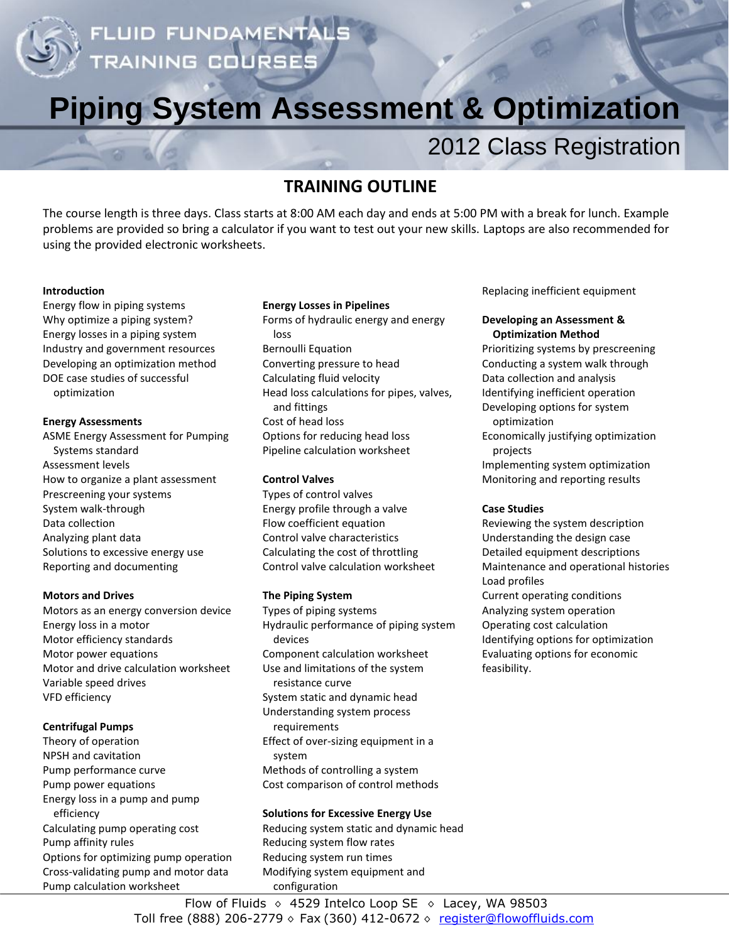

# **Piping System Assessment & Optimization**

# 2012 Class Registration

# **TRAINING OUTLINE**

The course length is three days. Class starts at 8:00 AM each day and ends at 5:00 PM with a break for lunch. Example problems are provided so bring a calculator if you want to test out your new skills. Laptops are also recommended for using the provided electronic worksheets.

#### **Introduction**

Energy flow in piping systems Why optimize a piping system? Energy losses in a piping system Industry and government resources Developing an optimization method DOE case studies of successful optimization

#### **Energy Assessments**

ASME Energy Assessment for Pumping Systems standard Assessment levels How to organize a plant assessment Prescreening your systems System walk-through Data collection Analyzing plant data Solutions to excessive energy use Reporting and documenting

#### **Motors and Drives**

Motors as an energy conversion device Energy loss in a motor Motor efficiency standards Motor power equations Motor and drive calculation worksheet Variable speed drives VFD efficiency

#### **Centrifugal Pumps**

Theory of operation NPSH and cavitation Pump performance curve Pump power equations Energy loss in a pump and pump efficiency Calculating pump operating cost Pump affinity rules Options for optimizing pump operation Cross-validating pump and motor data Pump calculation worksheet

#### **Energy Losses in Pipelines**

Forms of hydraulic energy and energy loss Bernoulli Equation Converting pressure to head Calculating fluid velocity Head loss calculations for pipes, valves, and fittings Cost of head loss Options for reducing head loss Pipeline calculation worksheet

#### **Control Valves**

Types of control valves Energy profile through a valve Flow coefficient equation Control valve characteristics Calculating the cost of throttling Control valve calculation worksheet

#### **The Piping System**

Types of piping systems Hydraulic performance of piping system devices Component calculation worksheet Use and limitations of the system resistance curve System static and dynamic head Understanding system process requirements Effect of over-sizing equipment in a system Methods of controlling a system Cost comparison of control methods

#### **Solutions for Excessive Energy Use**

Reducing system static and dynamic head Reducing system flow rates Reducing system run times Modifying system equipment and configuration

Replacing inefficient equipment

#### **Developing an Assessment & Optimization Method**

Prioritizing systems by prescreening Conducting a system walk through Data collection and analysis Identifying inefficient operation Developing options for system optimization Economically justifying optimization projects

Implementing system optimization Monitoring and reporting results

#### **Case Studies**

Reviewing the system description Understanding the design case Detailed equipment descriptions Maintenance and operational histories Load profiles Current operating conditions Analyzing system operation Operating cost calculation Identifying options for optimization Evaluating options for economic feasibility.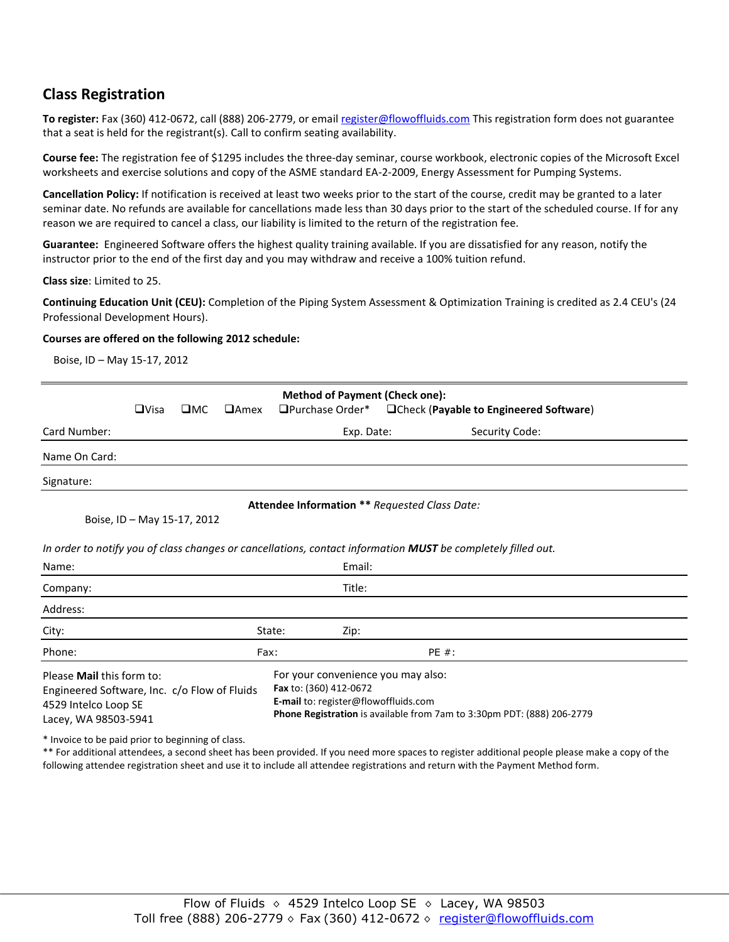## **Class Registration**

**To register:** Fax (360) 412-0672, call (888) 206-2779, or emai[l register@flowoffluids.com](mailto:register@flowoffluids.com) This registration form does not guarantee that a seat is held for the registrant(s). Call to confirm seating availability.

**Course fee:** The registration fee of \$1295 includes the three-day seminar, course workbook, electronic copies of the Microsoft Excel worksheets and exercise solutions and copy of the ASME standard EA-2-2009, Energy Assessment for Pumping Systems.

**Cancellation Policy:** If notification is received at least two weeks prior to the start of the course, credit may be granted to a later seminar date. No refunds are available for cancellations made less than 30 days prior to the start of the scheduled course. If for any reason we are required to cancel a class, our liability is limited to the return of the registration fee.

**Guarantee:** Engineered Software offers the highest quality training available. If you are dissatisfied for any reason, notify the instructor prior to the end of the first day and you may withdraw and receive a 100% tuition refund.

**Class size**: Limited to 25.

**Continuing Education Unit (CEU):** Completion of the Piping System Assessment & Optimization Training is credited as 2.4 CEU's (24 Professional Development Hours).

#### **Courses are offered on the following 2012 schedule:**

Boise, ID – May 15-17, 2012

| <b>Method of Payment (Check one):</b><br>□Check (Payable to Engineered Software)                                          |             |              |                                                                                                                                                                                |                  |       |                |  |  |  |  |
|---------------------------------------------------------------------------------------------------------------------------|-------------|--------------|--------------------------------------------------------------------------------------------------------------------------------------------------------------------------------|------------------|-------|----------------|--|--|--|--|
|                                                                                                                           | $\Box$ Visa | $\square$ MC | $\Box$ Amex                                                                                                                                                                    | □Purchase Order* |       |                |  |  |  |  |
| Card Number:                                                                                                              |             |              |                                                                                                                                                                                | Exp. Date:       |       | Security Code: |  |  |  |  |
| Name On Card:                                                                                                             |             |              |                                                                                                                                                                                |                  |       |                |  |  |  |  |
| Signature:                                                                                                                |             |              |                                                                                                                                                                                |                  |       |                |  |  |  |  |
| Attendee Information ** Requested Class Date:                                                                             |             |              |                                                                                                                                                                                |                  |       |                |  |  |  |  |
| Boise, ID - May 15-17, 2012                                                                                               |             |              |                                                                                                                                                                                |                  |       |                |  |  |  |  |
|                                                                                                                           |             |              |                                                                                                                                                                                |                  |       |                |  |  |  |  |
| In order to notify you of class changes or cancellations, contact information MUST be completely filled out.              |             |              |                                                                                                                                                                                |                  |       |                |  |  |  |  |
| Name:                                                                                                                     |             |              |                                                                                                                                                                                | Email:           |       |                |  |  |  |  |
| Company:                                                                                                                  |             |              |                                                                                                                                                                                | Title:           |       |                |  |  |  |  |
| Address:                                                                                                                  |             |              |                                                                                                                                                                                |                  |       |                |  |  |  |  |
| City:                                                                                                                     |             |              |                                                                                                                                                                                | State:<br>Zip:   |       |                |  |  |  |  |
| Phone:                                                                                                                    |             |              | Fax:                                                                                                                                                                           |                  | PE #: |                |  |  |  |  |
| Please Mail this form to:<br>Engineered Software, Inc. c/o Flow of Fluids<br>4529 Intelco Loop SE<br>Lacey, WA 98503-5941 |             |              | For your convenience you may also:<br>Fax to: (360) 412-0672<br>E-mail to: register@flowoffluids.com<br>Phone Registration is available from 7am to 3:30pm PDT: (888) 206-2779 |                  |       |                |  |  |  |  |

\* Invoice to be paid prior to beginning of class.

\*\* For additional attendees, a second sheet has been provided. If you need more spaces to register additional people please make a copy of the following attendee registration sheet and use it to include all attendee registrations and return with the Payment Method form.